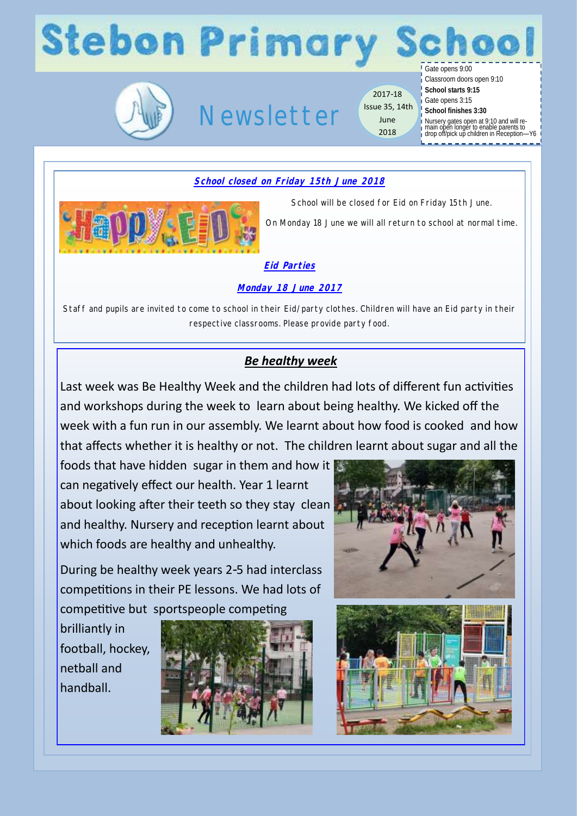# **Stebon Primary**



## Newsletter

2017-18 Issue 35, 14th June 2018

Gate opens 9:00

Classroom doors open 9:10 **School starts 9:15**

Gate opens 3:15

**School finishes 3:30**

Nursery gates open at 9:10 and will re-main open longer to enable parents to drop off/pick up children in Reception—Y6

### **School closed on Friday 15th June 2018**



School will be closed for Eid on Friday 15th June.

On Monday 18 June we will all return to school at normal time.

#### **Eid Parties**

**Monday 18 June 2017** 

Staff and pupils are invited to come to school in their Eid/party clothes. Children will have an Eid party in their respective classrooms. Please provide party food.

### *Be healthy week*

Last week was Be Healthy Week and the children had lots of different fun activities and workshops during the week to learn about being healthy. We kicked off the week with a fun run in our assembly. We learnt about how food is cooked and how that affects whether it is healthy or not. The children learnt about sugar and all the

foods that have hidden sugar in them and how it can negatively effect our health. Year 1 learnt about looking after their teeth so they stay clean and healthy. Nursery and reception learnt about which foods are healthy and unhealthy.

During be healthy week years 2-5 had interclass competitions in their PE lessons. We had lots of competitive but sportspeople competing

brilliantly in football, hockey, netball and handball.



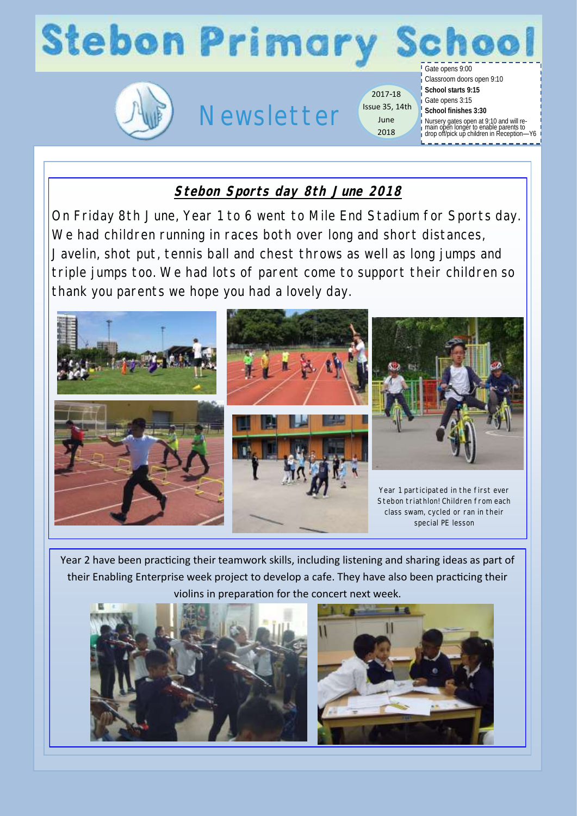## **Stebon Primary** Gate opens 9:00



# Newsletter

2017-18 Issue 35, 14th June 2018

Classroom doors open 9:10 **School starts 9:15** Gate opens 3:15 **School finishes 3:30** Nursery gates open at 9:10 and will re-main open longer to enable parents to drop off/pick up children in Reception—Y6

## **Stebon Sports day 8th June 2018**

On Friday 8th June, Year 1 to 6 went to Mile End Stadium for Sports day. We had children running in races both over long and short distances, Javelin, shot put, tennis ball and chest throws as well as long jumps and triple jumps too. We had lots of parent come to support their children so thank you parents we hope you had a lovely day.



Year 2 have been practicing their teamwork skills, including listening and sharing ideas as part of their Enabling Enterprise week project to develop a cafe. They have also been practicing their violins in preparation for the concert next week.



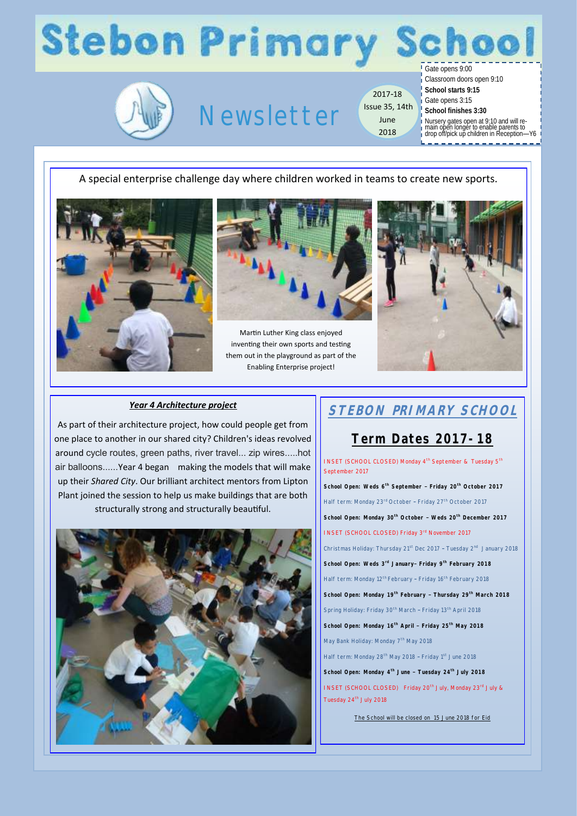# **Stebon Primary School**

Gate opens 9:00



## Newsletter

**Issue 35, 14th** School finishes 3:30 2017-18 June 2018

Classroom doors open 9:10

**School starts 9:15** Gate opens 3:15

Nursery gates open at 9:10 and will re-main open longer to enable parents to drop off/pick up children in Reception—Y6

#### A special enterprise challenge day where children worked in teams to create new sports.





Martin Luther King class enjoyed inventing their own sports and testing them out in the playground as part of the Enabling Enterprise project!



#### *Year 4 Architecture project*

As part of their architecture project, how could people get from one place to another in our shared city? Children's ideas revolved around cycle routes, green paths, river travel... zip wires.....hot air balloons......Year 4 began making the models that will make up their *Shared City*. Our brilliant architect mentors from Lipton Plant joined the session to help us make buildings that are both structurally strong and structurally beautiful.



## **STEBON PRIMARY SCHOOL**

### **Term Dates 2017-18**

INSET (SCHOOL CLOSED) Monday 4<sup>th</sup> September & Tuesday 5<sup>th</sup> September 2017 **School Open: Weds 6th September – Friday 20th October 2017** Half term: Monday 23<sup>rd</sup> October - Friday 27<sup>th</sup> October 2017 **School Open: Monday 30th October – Weds 20th December 2017**  INSET (SCHOOL CLOSED) Friday 3rd November 2017 Christmas Holiday: Thursday 21<sup>st</sup> Dec 2017 - Tuesday 2<sup>nd</sup> January 2018 **School Open: Weds 3rd January– Friday 9th February 2018** Half term: Monday 12<sup>th</sup> February - Friday 16<sup>th</sup> February 2018 **School Open: Monday 19th February – Thursday 29th March 2018** Spring Holiday: Friday 30<sup>th</sup> March - Friday 13<sup>th</sup> April 2018 **School Open: Monday 16th April – Friday 25th May 2018** May Bank Holiday: Monday 7<sup>th</sup> May 2018 Half term: Monday 28<sup>th</sup> May 2018 - Friday 1<sup>st</sup> June 2018 **School Open: Monday 4th June – Tuesday 24th July 2018** INSET (SCHOOL CLOSED) Friday 20<sup>th</sup> July, Monday 23<sup>rd</sup> July & Tuesday 24<sup>th</sup> July 2018

The School will be closed on 15 June 2018 for Eid